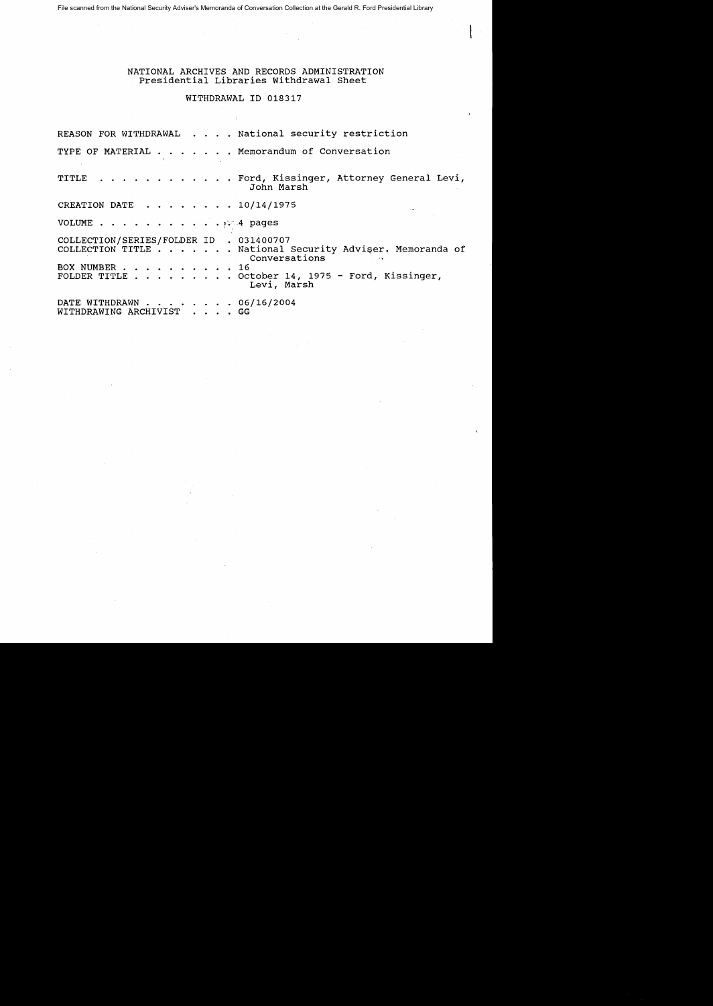File scanned from the National Security Adviser's Memoranda of Conversation Collection at the Gerald R. Ford Presidential Library

## NATIONAL ARCHIVES AND RECORDS ADMINISTRATION Presidential Libraries withdrawal Sheet

## WITHDRAWAL ID 018317

REASON FOR WITHDRAWAL . . . . National security restriction TYPE OF MATERIAL  $\ldots$  . . . . Memorandum of Conversation TITLE . . . . . . . . . . . Ford, Kissinger, Attorney General Levi, John Marsh CREATION DATE  $\cdot \cdot \cdot \cdot \cdot \cdot 10/14/1975$ VOLUME  $\cdots$  or  $\cdots$  or  $\cdots$  or  $\cdots$  of  $\cdots$   $\cdots$   $\cdots$   $\cdots$   $\cdots$   $\cdots$   $\cdots$   $\cdots$   $\cdots$   $\cdots$   $\cdots$   $\cdots$   $\cdots$   $\cdots$   $\cdots$   $\cdots$   $\cdots$   $\cdots$   $\cdots$   $\cdots$   $\cdots$   $\cdots$   $\cdots$   $\cdots$   $\cdots$   $\cdots$   $\cdots$   $\cdots$   $\cdots$   $\cdots$ COLLECTION/SERIES/FOLDER ID . 031400707 COLLECTION TITLE  $\ldots$  . . . . National Security Adviser, Memoranda of Conversations<sup>2</sup> BOX NUMBER . . . . . .<br>FOLDER TITLE . . . . . FOLDER TITLE 0 0 0 0 0 0 0 0 0 October 14, 1975 - Ford, Kissinger, Levi, Marsh DATE WITHDRAWN  $\cdots$  . . . . . . 06/16/2004 WITHDRAWING ARCHIVIST . . . . GG